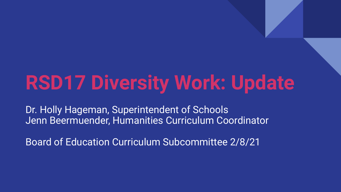# **RSD17 Diversity Work: Update**

Dr. Holly Hageman, Superintendent of Schools Jenn Beermuender, Humanities Curriculum Coordinator

Board of Education Curriculum Subcommittee 2/8/21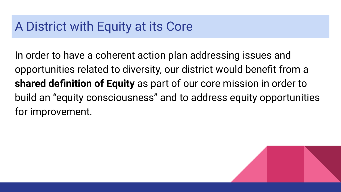### A District with Equity at its Core

In order to have a coherent action plan addressing issues and opportunities related to diversity, our district would benefit from a **shared definition of Equity** as part of our core mission in order to build an "equity consciousness" and to address equity opportunities for improvement.

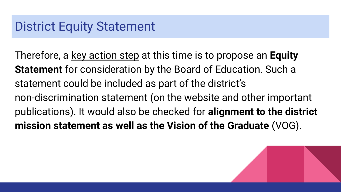### District Equity Statement

Therefore, a key action step at this time is to propose an **Equity Statement** for consideration by the Board of Education. Such a statement could be included as part of the district's non-discrimination statement (on the website and other important publications). It would also be checked for **alignment to the district mission statement as well as the Vision of the Graduate** (VOG).

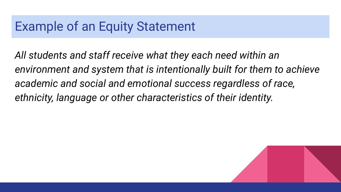#### Example of an Equity Statement

*All students and staff receive what they each need within an environment and system that is intentionally built for them to achieve academic and social and emotional success regardless of race, ethnicity, language or other characteristics of their identity.*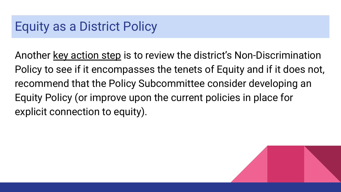### Equity as a District Policy

Another key action step is to review the district's Non-Discrimination Policy to see if it encompasses the tenets of Equity and if it does not, recommend that the Policy Subcommittee consider developing an Equity Policy (or improve upon the current policies in place for explicit connection to equity).

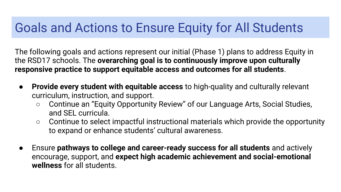### Goals and Actions to Ensure Equity for All Students

The following goals and actions represent our initial (Phase 1) plans to address Equity in the RSD17 schools. The **overarching goal is to continuously improve upon culturally responsive practice to support equitable access and outcomes for all students**.

- **Provide every student with equitable access** to high-quality and culturally relevant curriculum, instruction, and support.
	- Continue an "Equity Opportunity Review" of our Language Arts, Social Studies, and SEL curricula.
	- Continue to select impactful instructional materials which provide the opportunity to expand or enhance students' cultural awareness.
- Ensure **pathways to college and career-ready success for all students** and actively encourage, support, and **expect high academic achievement and social-emotional wellness** for all students.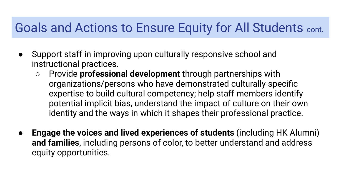#### Goals and Actions to Ensure Equity for All Students cont.

- Support staff in improving upon culturally responsive school and instructional practices.
	- Provide **professional development** through partnerships with organizations/persons who have demonstrated culturally-specific expertise to build cultural competency; help staff members identify potential implicit bias, understand the impact of culture on their own identity and the ways in which it shapes their professional practice.
- **Engage the voices and lived experiences of students** (including HK Alumni) **and families**, including persons of color, to better understand and address equity opportunities.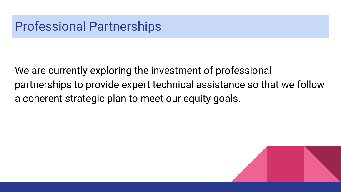### Professional Partnerships

We are currently exploring the investment of professional partnerships to provide expert technical assistance so that we follow a coherent strategic plan to meet our equity goals.

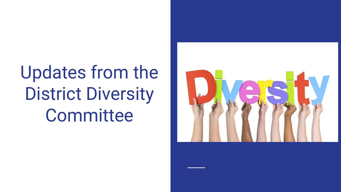## Updates from the District Diversity **Committee**

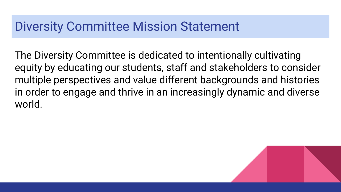#### Diversity Committee Mission Statement

The Diversity Committee is dedicated to intentionally cultivating equity by educating our students, staff and stakeholders to consider multiple perspectives and value different backgrounds and histories in order to engage and thrive in an increasingly dynamic and diverse world.

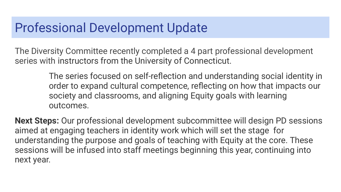#### Professional Development Update

The Diversity Committee recently completed a 4 part professional development series with instructors from the University of Connecticut.

> The series focused on self-reflection and understanding social identity in order to expand cultural competence, reflecting on how that impacts our society and classrooms, and aligning Equity goals with learning outcomes.

**Next Steps:** Our professional development subcommittee will design PD sessions aimed at engaging teachers in identity work which will set the stage for understanding the purpose and goals of teaching with Equity at the core. These sessions will be infused into staff meetings beginning this year, continuing into next year.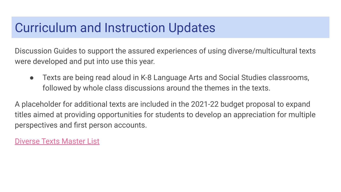### Curriculum and Instruction Updates

Discussion Guides to support the assured experiences of using diverse/multicultural texts were developed and put into use this year.

● Texts are being read aloud in K-8 Language Arts and Social Studies classrooms, followed by whole class discussions around the themes in the texts.

A placeholder for additional texts are included in the 2021-22 budget proposal to expand titles aimed at providing opportunities for students to develop an appreciation for multiple perspectives and first person accounts.

[Diverse Texts Master List](https://drive.google.com/file/d/1ZSeCyoGqDCIXS2zSP4ylv7d1xc2NJhW9/view?usp=sharing)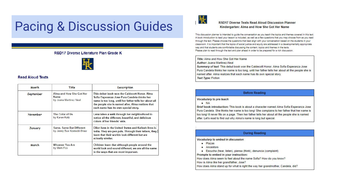## Pacing & Discussion Guides

#### RSD17 Diverse Literature Plan Grade K



#### **Read Aloud Texts**

| Month          | Title                                                      | Description                                                                                                                                                                                                                                          |
|----------------|------------------------------------------------------------|------------------------------------------------------------------------------------------------------------------------------------------------------------------------------------------------------------------------------------------------------|
| September      | Alma and How She Got Her<br>Name<br>by Juana Martinez Neal | This debut book won the Caldecott Honor, Alma<br>Sofia Esperanza Jose Pura Candela thinks her<br>name is too long, until her father tells her about all<br>the people she is named after. Alma realizes that<br>each name has its own special story. |
| November       | The Color of Us<br>by Karen Katz                           | Lena takes a walk through her neighborhood to<br>notice all the different, beautiful, and delicious<br>colors of her friends' skin.                                                                                                                  |
| <b>January</b> | Same, Same But Different<br>by Jenny Sue Kostecki-Shaw     | <b>Elliot lives in the United States and Kailash lives in</b><br>India. They are pen pals. Through their letters, they<br>learn that their worlds look different but are<br>actually similar.                                                        |
| March          | <b>Whoever You Are</b><br>by Mem Fox                       | Children learn that although people around the<br>world look and sound different, we are all the same<br>in the ways that are most important.                                                                                                        |



#### **RSD17 Diverse Texts Read Aloud Discussion Planner** Kindergarten: Alma and How She Got Her Name

This discussion planner is intended to quide the conversation as you teach the topics and themes covered in this text. A book introduction to lead your lesson is included, as well as a few questions that you may choose from as you read through the text. Please choose the questions that best align with your conversation based on the students in your classroom. It is important that the topics of social justice and equity are addressed in a developmentally appropriate way and that students are comfortable discussing the content, topics and themes in the texts. Please plan to read through the text and plan ahead in order to be prepared for a rich discussion.

Title: Alma and How She Got Her Name Author: Juana Martinez-Neal Summary of text. This debut book won the Caldecott Honor. Alma Sofia Esperanza Jose Pura Candela thinks her name is too long, until her father tells her about all the people she is named after. Alma realizes that each name has its own special story. **Text Type: Fiction** 

| <b>Before Reading</b>                                                                                                                                                                                                                                                                                                                                                                                      |  |  |
|------------------------------------------------------------------------------------------------------------------------------------------------------------------------------------------------------------------------------------------------------------------------------------------------------------------------------------------------------------------------------------------------------------|--|--|
| Vocabulary to pre teach:<br>$\bullet$ NA<br>Brief book introduction: This book is about a character named Alma Sofia Esperanza Jose<br>Pura Candela. She thinks her name is too long! She complains to her father that her name is<br>too long! It never fits on a page. Then her father tells her about all the people she is named<br>after. Let's read to find out why Alma's name is long but special. |  |  |
| <b>During Reading</b>                                                                                                                                                                                                                                                                                                                                                                                      |  |  |

Vocabulary to embed in discussion:

- $\n **Plazas**\n$
- Ancestors
- Escucha (hear, listen), piensa (think), denuncia (complaint)

Prompts to embed in your instruction:

How does Alma seem to feel about the name Sofia? How do you know?

How is Alma like her grandfather, Jose?

How does Alma stand up for what is right the way her grandmother, Candela, did?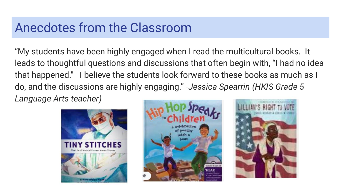#### Anecdotes from the Classroom

"My students have been highly engaged when I read the multicultural books. It leads to thoughtful questions and discussions that often begin with, "I had no idea that happened." I believe the students look forward to these books as much as I do, and the discussions are highly engaging." -*Jessica Spearrin (HKIS Grade 5 Language Arts teacher)*





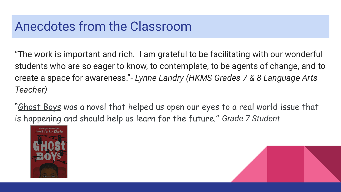### Anecdotes from the Classroom

"The work is important and rich. I am grateful to be facilitating with our wonderful students who are so eager to know, to contemplate, to be agents of change, and to create a space for awareness."- *Lynne Landry (HKMS Grades 7 & 8 Language Arts Teacher)*

"Ghost Boys was a novel that helped us open our eyes to a real world issue that is happening and should help us learn for the future." *Grade 7 Student*



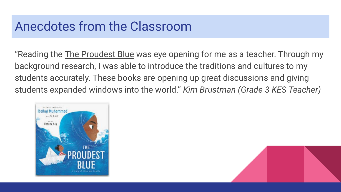### Anecdotes from the Classroom

"Reading the The Proudest Blue was eye opening for me as a teacher. Through my background research, I was able to introduce the traditions and cultures to my students accurately. These books are opening up great discussions and giving students expanded windows into the world." *Kim Brustman (Grade 3 KES Teacher)*

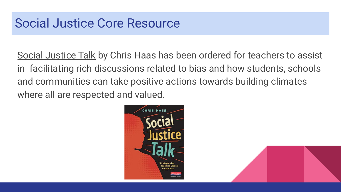Social Justice Talk by Chris Haas has been ordered for teachers to assist in facilitating rich discussions related to bias and how students, schools and communities can take positive actions towards building climates where all are respected and valued.